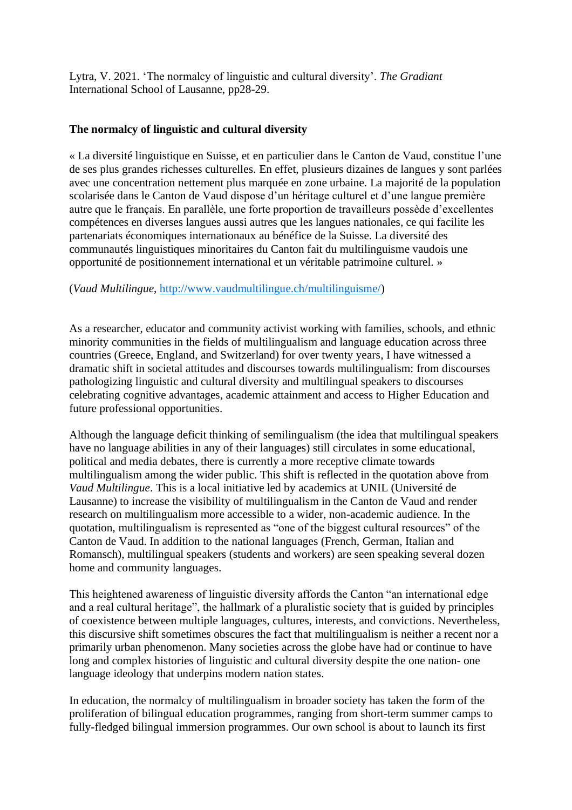Lytra, V. 2021. 'The normalcy of linguistic and cultural diversity'. *The Gradiant* International School of Lausanne, pp28-29.

## **The normalcy of linguistic and cultural diversity**

« La diversité linguistique en Suisse, et en particulier dans le Canton de Vaud, constitue l'une de ses plus grandes richesses culturelles. En effet, plusieurs dizaines de langues y sont parlées avec une concentration nettement plus marquée en zone urbaine. La majorité de la population scolarisée dans le Canton de Vaud dispose d'un héritage culturel et d'une langue première autre que le français. En parallèle, une forte proportion de travailleurs possède d'excellentes compétences en diverses langues aussi autres que les langues nationales, ce qui facilite les partenariats économiques internationaux au bénéfice de la Suisse. La diversité des communautés linguistiques minoritaires du Canton fait du multilinguisme vaudois une opportunité de positionnement international et un véritable patrimoine culturel. »

(*Vaud Multilingue*, [http://www.vaudmultilingue.ch/multilinguisme/\)](http://www.vaudmultilingue.ch/multilinguisme/)

As a researcher, educator and community activist working with families, schools, and ethnic minority communities in the fields of multilingualism and language education across three countries (Greece, England, and Switzerland) for over twenty years, I have witnessed a dramatic shift in societal attitudes and discourses towards multilingualism: from discourses pathologizing linguistic and cultural diversity and multilingual speakers to discourses celebrating cognitive advantages, academic attainment and access to Higher Education and future professional opportunities.

Although the language deficit thinking of semilingualism (the idea that multilingual speakers have no language abilities in any of their languages) still circulates in some educational, political and media debates, there is currently a more receptive climate towards multilingualism among the wider public. This shift is reflected in the quotation above from *Vaud Multilingue*. This is a local initiative led by academics at UNIL (Université de Lausanne) to increase the visibility of multilingualism in the Canton de Vaud and render research on multilingualism more accessible to a wider, non-academic audience. In the quotation, multilingualism is represented as "one of the biggest cultural resources" of the Canton de Vaud. In addition to the national languages (French, German, Italian and Romansch), multilingual speakers (students and workers) are seen speaking several dozen home and community languages.

This heightened awareness of linguistic diversity affords the Canton "an international edge and a real cultural heritage", the hallmark of a pluralistic society that is guided by principles of coexistence between multiple languages, cultures, interests, and convictions. Nevertheless, this discursive shift sometimes obscures the fact that multilingualism is neither a recent nor a primarily urban phenomenon. Many societies across the globe have had or continue to have long and complex histories of linguistic and cultural diversity despite the one nation- one language ideology that underpins modern nation states.

In education, the normalcy of multilingualism in broader society has taken the form of the proliferation of bilingual education programmes, ranging from short-term summer camps to fully-fledged bilingual immersion programmes. Our own school is about to launch its first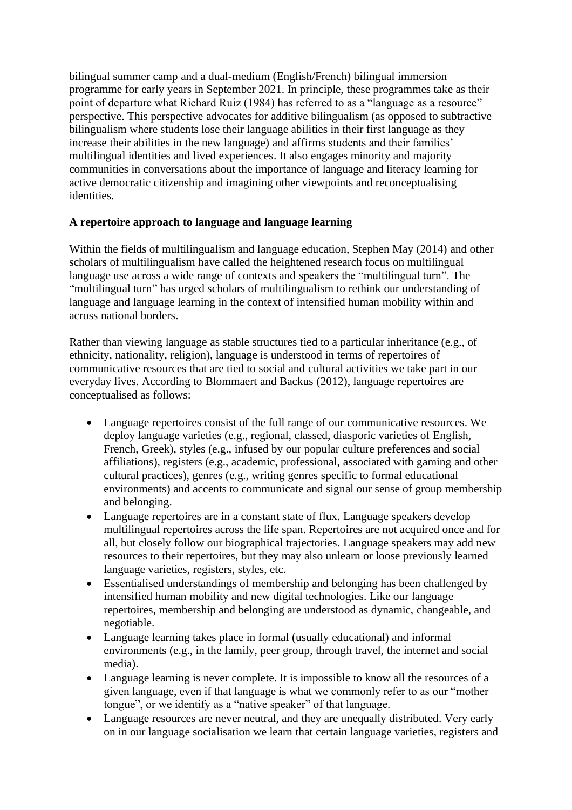bilingual summer camp and a dual-medium (English/French) bilingual immersion programme for early years in September 2021. In principle, these programmes take as their point of departure what Richard Ruiz (1984) has referred to as a "language as a resource" perspective. This perspective advocates for additive bilingualism (as opposed to subtractive bilingualism where students lose their language abilities in their first language as they increase their abilities in the new language) and affirms students and their families' multilingual identities and lived experiences. It also engages minority and majority communities in conversations about the importance of language and literacy learning for active democratic citizenship and imagining other viewpoints and reconceptualising identities.

## **A repertoire approach to language and language learning**

Within the fields of multilingualism and language education, Stephen May (2014) and other scholars of multilingualism have called the heightened research focus on multilingual language use across a wide range of contexts and speakers the "multilingual turn". The "multilingual turn" has urged scholars of multilingualism to rethink our understanding of language and language learning in the context of intensified human mobility within and across national borders.

Rather than viewing language as stable structures tied to a particular inheritance (e.g., of ethnicity, nationality, religion), language is understood in terms of repertoires of communicative resources that are tied to social and cultural activities we take part in our everyday lives. According to Blommaert and Backus (2012), language repertoires are conceptualised as follows:

- Language repertoires consist of the full range of our communicative resources. We deploy language varieties (e.g., regional, classed, diasporic varieties of English, French, Greek), styles (e.g., infused by our popular culture preferences and social affiliations), registers (e.g., academic, professional, associated with gaming and other cultural practices), genres (e.g., writing genres specific to formal educational environments) and accents to communicate and signal our sense of group membership and belonging.
- Language repertoires are in a constant state of flux. Language speakers develop multilingual repertoires across the life span. Repertoires are not acquired once and for all, but closely follow our biographical trajectories. Language speakers may add new resources to their repertoires, but they may also unlearn or loose previously learned language varieties, registers, styles, etc.
- Essentialised understandings of membership and belonging has been challenged by intensified human mobility and new digital technologies. Like our language repertoires, membership and belonging are understood as dynamic, changeable, and negotiable.
- Language learning takes place in formal (usually educational) and informal environments (e.g., in the family, peer group, through travel, the internet and social media).
- Language learning is never complete. It is impossible to know all the resources of a given language, even if that language is what we commonly refer to as our "mother tongue", or we identify as a "native speaker" of that language.
- Language resources are never neutral, and they are unequally distributed. Very early on in our language socialisation we learn that certain language varieties, registers and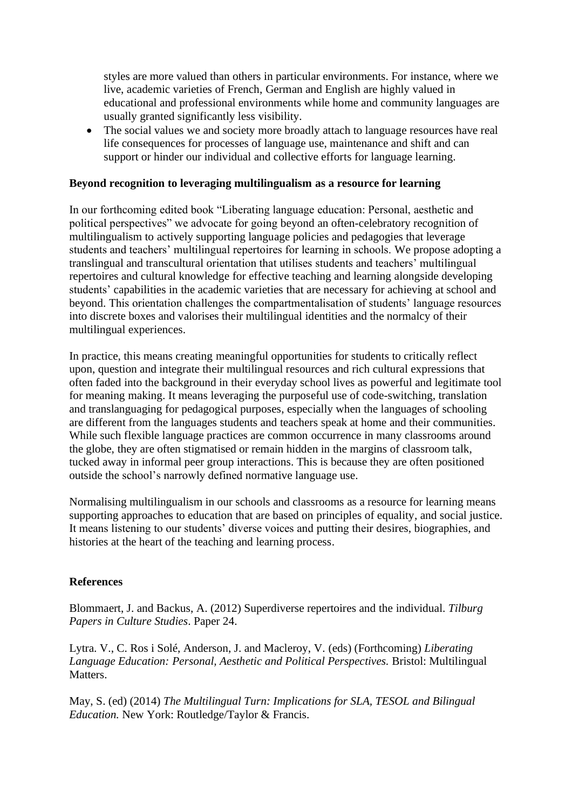styles are more valued than others in particular environments. For instance, where we live, academic varieties of French, German and English are highly valued in educational and professional environments while home and community languages are usually granted significantly less visibility.

• The social values we and society more broadly attach to language resources have real life consequences for processes of language use, maintenance and shift and can support or hinder our individual and collective efforts for language learning.

## **Beyond recognition to leveraging multilingualism as a resource for learning**

In our forthcoming edited book "Liberating language education: Personal, aesthetic and political perspectives" we advocate for going beyond an often-celebratory recognition of multilingualism to actively supporting language policies and pedagogies that leverage students and teachers' multilingual repertoires for learning in schools. We propose adopting a translingual and transcultural orientation that utilises students and teachers' multilingual repertoires and cultural knowledge for effective teaching and learning alongside developing students' capabilities in the academic varieties that are necessary for achieving at school and beyond. This orientation challenges the compartmentalisation of students' language resources into discrete boxes and valorises their multilingual identities and the normalcy of their multilingual experiences.

In practice, this means creating meaningful opportunities for students to critically reflect upon, question and integrate their multilingual resources and rich cultural expressions that often faded into the background in their everyday school lives as powerful and legitimate tool for meaning making. It means leveraging the purposeful use of code-switching, translation and translanguaging for pedagogical purposes, especially when the languages of schooling are different from the languages students and teachers speak at home and their communities. While such flexible language practices are common occurrence in many classrooms around the globe, they are often stigmatised or remain hidden in the margins of classroom talk, tucked away in informal peer group interactions. This is because they are often positioned outside the school's narrowly defined normative language use.

Normalising multilingualism in our schools and classrooms as a resource for learning means supporting approaches to education that are based on principles of equality, and social justice. It means listening to our students' diverse voices and putting their desires, biographies, and histories at the heart of the teaching and learning process.

## **References**

Blommaert, J. and Backus, A. (2012) Superdiverse repertoires and the individual. *Tilburg Papers in Culture Studies*. Paper 24.

Lytra. V., C. Ros i Solé, Anderson, J. and Macleroy, V. (eds) (Forthcoming) *Liberating Language Education: Personal, Aesthetic and Political Perspectives.* Bristol: Multilingual Matters.

May, S. (ed) (2014) *The Multilingual Turn: Implications for SLA, TESOL and Bilingual Education.* New York: Routledge/Taylor & Francis.